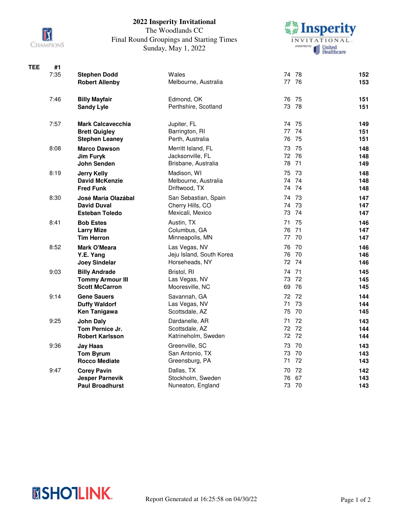

## **2022 Insperity Invitational**

## The Woodlands CC Final Round Groupings and Starting Times Sunday, May 1, 2022



| <b>TEE</b> | #1   |                                                  |                                       |                   |            |
|------------|------|--------------------------------------------------|---------------------------------------|-------------------|------------|
|            | 7:35 | <b>Stephen Dodd</b>                              | Wales                                 | 74 78             | 152        |
|            |      | <b>Robert Allenby</b>                            | Melbourne, Australia                  | 77 76             | 153        |
|            | 7:46 | <b>Billy Mayfair</b>                             | Edmond, OK                            | 76 75             | 151        |
|            |      | <b>Sandy Lyle</b>                                | Perthshire, Scotland                  | 73 78             | 151        |
|            | 7:57 | <b>Mark Calcavecchia</b>                         | Jupiter, FL                           | 74 75             | 149        |
|            |      | <b>Brett Quigley</b>                             | Barrington, RI                        | 77 74             | 151        |
|            |      | <b>Stephen Leaney</b>                            | Perth, Australia                      | 76 75             | 151        |
|            | 8:08 | <b>Marco Dawson</b>                              | Merritt Island, FL                    | 73 75             | 148        |
|            |      | <b>Jim Furyk</b>                                 | Jacksonville, FL                      | 72 76             | 148        |
|            |      | John Senden                                      | Brisbane, Australia                   | 78 71             | 149        |
|            | 8:19 | Jerry Kelly                                      | Madison, WI                           | 75 73             | 148        |
|            |      | <b>David McKenzie</b>                            | Melbourne, Australia                  | 74 74             | 148        |
|            |      | <b>Fred Funk</b>                                 | Driftwood, TX                         | 74 74             | 148        |
|            | 8:30 | José María Olazábal                              | San Sebastian, Spain                  | 74 73             | 147        |
|            |      | <b>David Duval</b>                               | Cherry Hills, CO                      | 74 73             | 147        |
|            |      | <b>Esteban Toledo</b>                            | Mexicali, Mexico                      | 73 74             | 147        |
|            | 8:41 | <b>Bob Estes</b>                                 | Austin, TX                            | 71<br>-75         | 146        |
|            |      | <b>Larry Mize</b>                                | Columbus, GA                          | 76 71             | 147        |
|            |      | <b>Tim Herron</b>                                | Minneapolis, MN                       | 77 70             | 147        |
|            | 8:52 | <b>Mark O'Meara</b>                              | Las Vegas, NV                         | 76 70             | 146        |
|            |      | Y.E. Yang                                        | Jeju Island, South Korea              | 76 70             | 146        |
|            |      | <b>Joey Sindelar</b>                             | Horseheads, NY                        | 72 74             | 146        |
|            | 9:03 | <b>Billy Andrade</b>                             | Bristol, RI                           | 74 71             | 145        |
|            |      | <b>Tommy Armour III</b>                          | Las Vegas, NV                         | 73 72             | 145        |
|            |      | <b>Scott McCarron</b>                            | Mooresville, NC                       | 69 76             | 145        |
|            | 9:14 | <b>Gene Sauers</b>                               | Savannah, GA                          | 72 72             | 144        |
|            |      | <b>Duffy Waldorf</b>                             | Las Vegas, NV<br>Scottsdale, AZ       | 73<br>71<br>75 70 | 144        |
|            |      | <b>Ken Tanigawa</b>                              |                                       |                   | 145        |
|            | 9:25 | <b>John Daly</b>                                 | Dardanelle, AR                        | 71<br>72          | 143        |
|            |      | Tom Pernice Jr.<br><b>Robert Karlsson</b>        | Scottsdale, AZ<br>Katrineholm, Sweden | 72 72<br>72 72    | 144        |
|            |      |                                                  |                                       |                   | 144        |
|            | 9:36 | Jay Haas                                         | Greenville, SC                        | 73 70             | 143        |
|            |      | <b>Tom Byrum</b><br><b>Rocco Mediate</b>         | San Antonio, TX<br>Greensburg, PA     | 73 70<br>71<br>72 | 143<br>143 |
|            |      |                                                  |                                       |                   |            |
|            | 9:47 | <b>Corey Pavin</b>                               | Dallas, TX<br>Stockholm, Sweden       | 70 72<br>67<br>76 | 142        |
|            |      | <b>Jesper Parnevik</b><br><b>Paul Broadhurst</b> | Nuneaton, England                     | 73 70             | 143<br>143 |
|            |      |                                                  |                                       |                   |            |